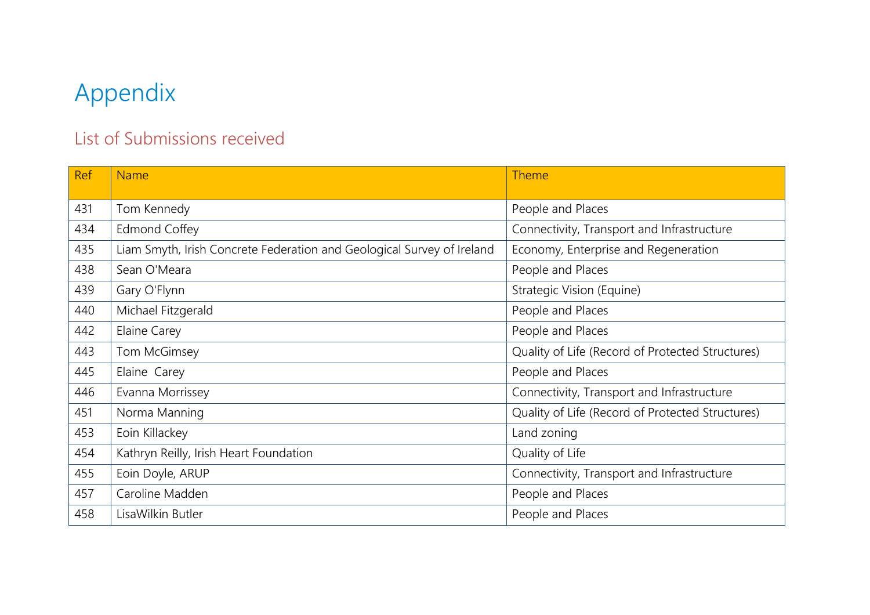# Appendix

# List of Submissions received

| <b>Ref</b>                                     | <b>Name</b>                                                            | Theme                                            |  |
|------------------------------------------------|------------------------------------------------------------------------|--------------------------------------------------|--|
| 431                                            | Tom Kennedy                                                            | People and Places                                |  |
| 434                                            | <b>Edmond Coffey</b>                                                   | Connectivity, Transport and Infrastructure       |  |
| 435                                            | Liam Smyth, Irish Concrete Federation and Geological Survey of Ireland | Economy, Enterprise and Regeneration             |  |
| 438                                            | Sean O'Meara                                                           | People and Places                                |  |
| 439                                            | Gary O'Flynn                                                           | Strategic Vision (Equine)                        |  |
| 440<br>Michael Fitzgerald<br>People and Places |                                                                        |                                                  |  |
| 442                                            | Elaine Carey                                                           | People and Places                                |  |
| 443                                            | Tom McGimsey                                                           | Quality of Life (Record of Protected Structures) |  |
| 445                                            | Elaine Carey                                                           | People and Places                                |  |
| 446                                            | Evanna Morrissey                                                       | Connectivity, Transport and Infrastructure       |  |
| 451                                            | Norma Manning                                                          | Quality of Life (Record of Protected Structures) |  |
| 453                                            | Eoin Killackey                                                         | Land zoning                                      |  |
| 454                                            | Kathryn Reilly, Irish Heart Foundation                                 | Quality of Life                                  |  |
| 455                                            | Eoin Doyle, ARUP                                                       | Connectivity, Transport and Infrastructure       |  |
| 457                                            | Caroline Madden                                                        | People and Places                                |  |
| 458                                            | LisaWilkin Butler                                                      | People and Places                                |  |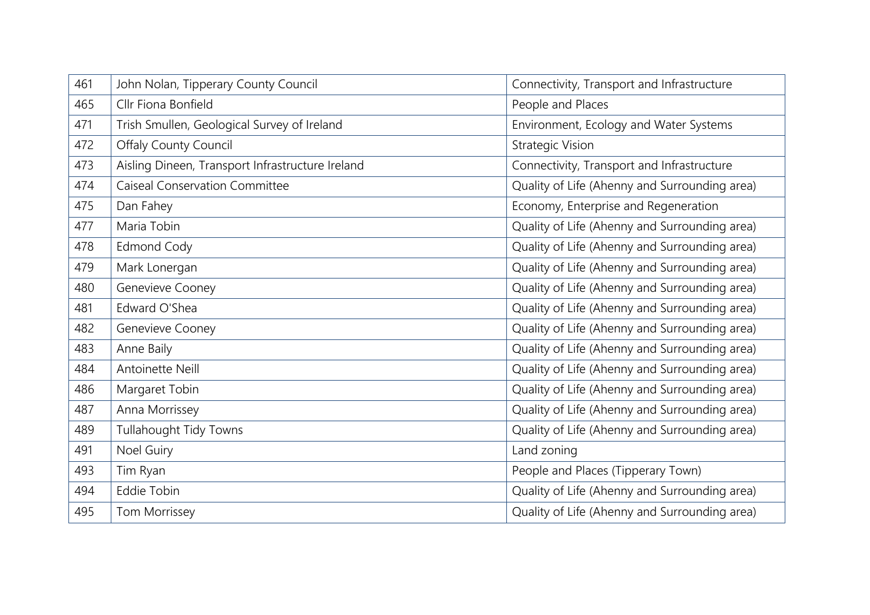| 461                        | John Nolan, Tipperary County Council             | Connectivity, Transport and Infrastructure    |  |
|----------------------------|--------------------------------------------------|-----------------------------------------------|--|
| 465<br>Cllr Fiona Bonfield |                                                  | People and Places                             |  |
| 471                        | Trish Smullen, Geological Survey of Ireland      | Environment, Ecology and Water Systems        |  |
| 472                        | Offaly County Council                            | <b>Strategic Vision</b>                       |  |
| 473                        | Aisling Dineen, Transport Infrastructure Ireland | Connectivity, Transport and Infrastructure    |  |
| 474                        | <b>Caiseal Conservation Committee</b>            | Quality of Life (Ahenny and Surrounding area) |  |
| 475                        | Dan Fahey                                        | Economy, Enterprise and Regeneration          |  |
| 477                        | Maria Tobin                                      | Quality of Life (Ahenny and Surrounding area) |  |
| 478<br><b>Edmond Cody</b>  |                                                  | Quality of Life (Ahenny and Surrounding area) |  |
| 479<br>Mark Lonergan       |                                                  | Quality of Life (Ahenny and Surrounding area) |  |
| 480<br>Genevieve Cooney    |                                                  | Quality of Life (Ahenny and Surrounding area) |  |
| 481                        | Edward O'Shea                                    | Quality of Life (Ahenny and Surrounding area) |  |
| 482<br>Genevieve Cooney    |                                                  | Quality of Life (Ahenny and Surrounding area) |  |
| 483<br>Anne Baily          |                                                  | Quality of Life (Ahenny and Surrounding area) |  |
| 484<br>Antoinette Neill    |                                                  | Quality of Life (Ahenny and Surrounding area) |  |
| 486                        | Margaret Tobin                                   | Quality of Life (Ahenny and Surrounding area) |  |
| 487                        | Anna Morrissey                                   | Quality of Life (Ahenny and Surrounding area) |  |
| 489                        | Tullahought Tidy Towns                           | Quality of Life (Ahenny and Surrounding area) |  |
| 491                        | Noel Guiry                                       | Land zoning                                   |  |
| 493                        | Tim Ryan                                         | People and Places (Tipperary Town)            |  |
| 494                        | Eddie Tobin                                      | Quality of Life (Ahenny and Surrounding area) |  |
| 495                        | Tom Morrissey                                    | Quality of Life (Ahenny and Surrounding area) |  |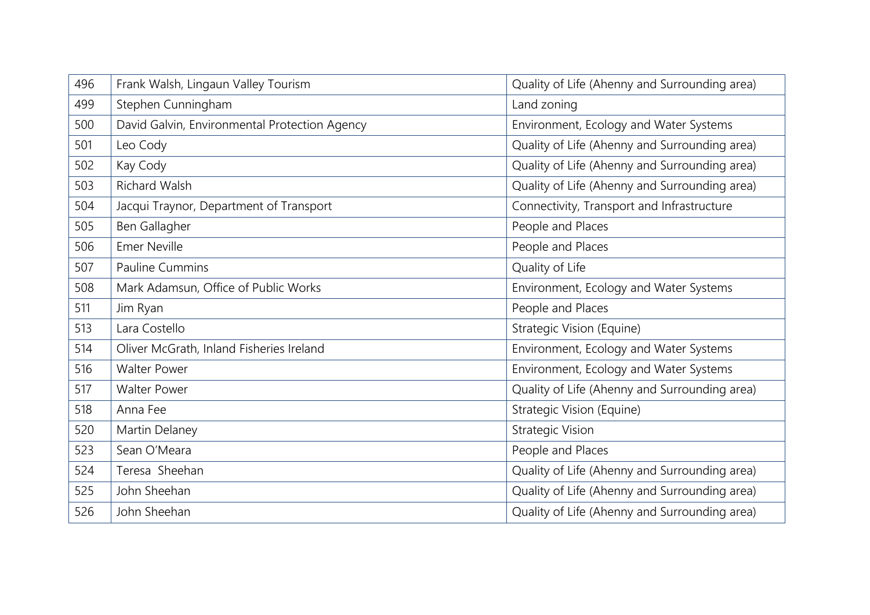| 496                                               | Frank Walsh, Lingaun Valley Tourism<br>Quality of Life (Ahenny and Surrounding area) |                                               |
|---------------------------------------------------|--------------------------------------------------------------------------------------|-----------------------------------------------|
| 499<br>Stephen Cunningham<br>Land zoning          |                                                                                      |                                               |
| 500                                               | David Galvin, Environmental Protection Agency                                        | Environment, Ecology and Water Systems        |
| 501                                               | Leo Cody                                                                             | Quality of Life (Ahenny and Surrounding area) |
| 502                                               | Kay Cody                                                                             | Quality of Life (Ahenny and Surrounding area) |
| 503                                               | <b>Richard Walsh</b>                                                                 | Quality of Life (Ahenny and Surrounding area) |
| 504                                               | Jacqui Traynor, Department of Transport                                              | Connectivity, Transport and Infrastructure    |
| 505                                               | Ben Gallagher                                                                        | People and Places                             |
| 506<br><b>Emer Neville</b><br>People and Places   |                                                                                      |                                               |
| Quality of Life<br>507<br><b>Pauline Cummins</b>  |                                                                                      |                                               |
| 508<br>Mark Adamsun, Office of Public Works       |                                                                                      | Environment, Ecology and Water Systems        |
| 511<br>Jim Ryan<br>People and Places              |                                                                                      |                                               |
| 513<br>Lara Costello<br>Strategic Vision (Equine) |                                                                                      |                                               |
| 514                                               | Environment, Ecology and Water Systems<br>Oliver McGrath, Inland Fisheries Ireland   |                                               |
| 516                                               | <b>Walter Power</b>                                                                  | Environment, Ecology and Water Systems        |
| 517                                               | <b>Walter Power</b>                                                                  | Quality of Life (Ahenny and Surrounding area) |
| 518                                               | Anna Fee                                                                             | Strategic Vision (Equine)                     |
| 520                                               | Martin Delaney                                                                       | <b>Strategic Vision</b>                       |
| 523                                               | Sean O'Meara                                                                         | People and Places                             |
| 524                                               | Teresa Sheehan                                                                       | Quality of Life (Ahenny and Surrounding area) |
| 525                                               | John Sheehan<br>Quality of Life (Ahenny and Surrounding area)                        |                                               |
| 526                                               | John Sheehan                                                                         | Quality of Life (Ahenny and Surrounding area) |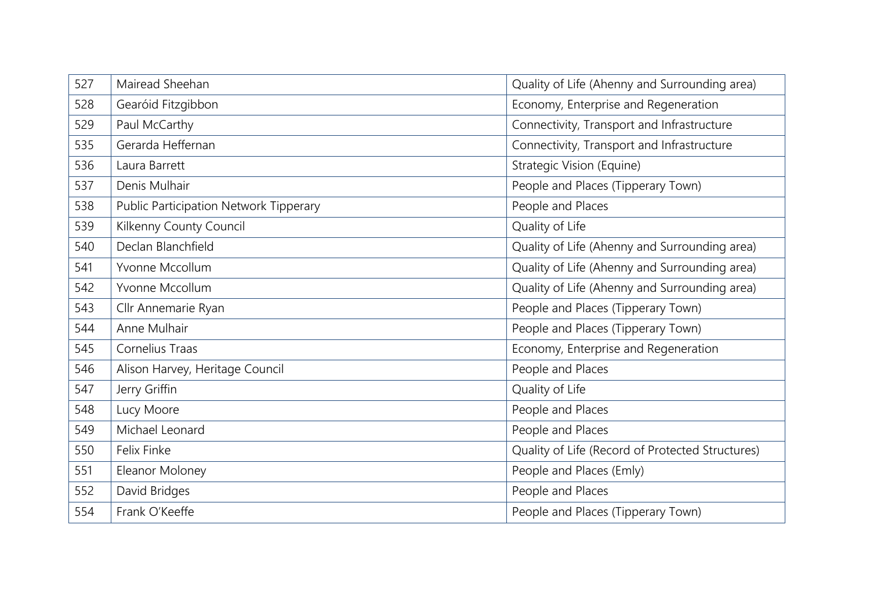| 527                       | Quality of Life (Ahenny and Surrounding area)<br>Mairead Sheehan |                                                  |  |
|---------------------------|------------------------------------------------------------------|--------------------------------------------------|--|
| 528                       | Gearóid Fitzgibbon                                               | Economy, Enterprise and Regeneration             |  |
| 529                       | Paul McCarthy                                                    | Connectivity, Transport and Infrastructure       |  |
| 535                       | Gerarda Heffernan                                                | Connectivity, Transport and Infrastructure       |  |
| 536                       | Laura Barrett                                                    | Strategic Vision (Equine)                        |  |
| 537                       | Denis Mulhair                                                    | People and Places (Tipperary Town)               |  |
| 538                       | Public Participation Network Tipperary                           | People and Places                                |  |
| 539                       | Kilkenny County Council                                          | Quality of Life                                  |  |
| 540<br>Declan Blanchfield |                                                                  | Quality of Life (Ahenny and Surrounding area)    |  |
| 541<br>Yvonne Mccollum    |                                                                  | Quality of Life (Ahenny and Surrounding area)    |  |
| 542<br>Yvonne Mccollum    |                                                                  | Quality of Life (Ahenny and Surrounding area)    |  |
| 543                       | Cllr Annemarie Ryan                                              | People and Places (Tipperary Town)               |  |
| 544<br>Anne Mulhair       |                                                                  | People and Places (Tipperary Town)               |  |
| 545                       | Cornelius Traas<br>Economy, Enterprise and Regeneration          |                                                  |  |
| 546                       | Alison Harvey, Heritage Council                                  | People and Places                                |  |
| 547                       | Jerry Griffin                                                    | Quality of Life                                  |  |
| 548                       | Lucy Moore                                                       | People and Places                                |  |
| 549                       | Michael Leonard                                                  | People and Places                                |  |
| 550                       | Felix Finke                                                      | Quality of Life (Record of Protected Structures) |  |
| 551                       | Eleanor Moloney                                                  | People and Places (Emly)                         |  |
| 552                       | David Bridges                                                    | People and Places                                |  |
| 554                       | Frank O'Keeffe                                                   | People and Places (Tipperary Town)               |  |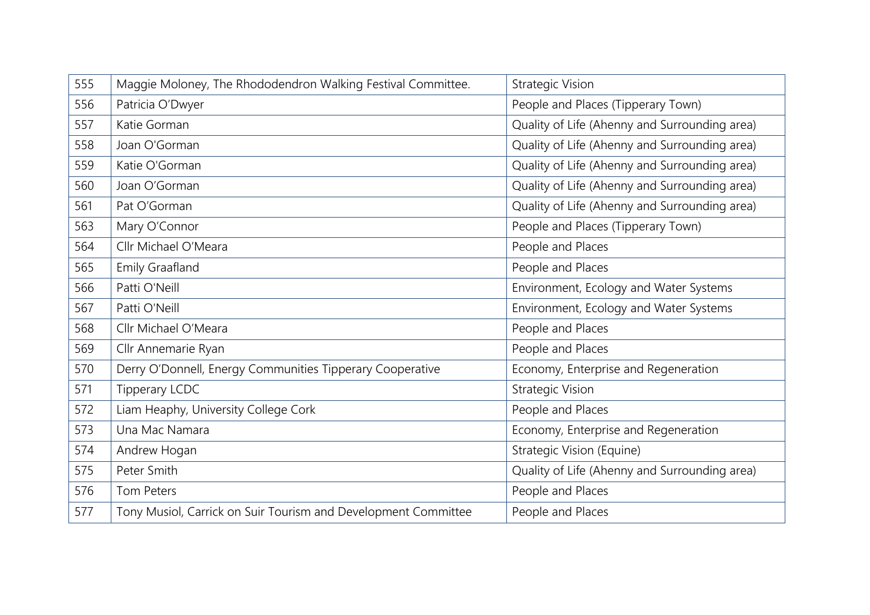| 555                                              | Maggie Moloney, The Rhododendron Walking Festival Committee.<br><b>Strategic Vision</b>           |                                               |
|--------------------------------------------------|---------------------------------------------------------------------------------------------------|-----------------------------------------------|
| 556                                              | Patricia O'Dwyer                                                                                  | People and Places (Tipperary Town)            |
| 557                                              | Katie Gorman                                                                                      | Quality of Life (Ahenny and Surrounding area) |
| 558                                              | Joan O'Gorman                                                                                     | Quality of Life (Ahenny and Surrounding area) |
| 559                                              | Katie O'Gorman                                                                                    | Quality of Life (Ahenny and Surrounding area) |
| 560                                              | Joan O'Gorman                                                                                     | Quality of Life (Ahenny and Surrounding area) |
| 561                                              | Pat O'Gorman                                                                                      | Quality of Life (Ahenny and Surrounding area) |
| 563                                              | Mary O'Connor                                                                                     | People and Places (Tipperary Town)            |
| 564<br>Cllr Michael O'Meara<br>People and Places |                                                                                                   |                                               |
| People and Places<br>565<br>Emily Graafland      |                                                                                                   |                                               |
| 566<br>Patti O'Neill                             |                                                                                                   | Environment, Ecology and Water Systems        |
| 567                                              | Patti O'Neill                                                                                     | Environment, Ecology and Water Systems        |
| Cllr Michael O'Meara<br>People and Places<br>568 |                                                                                                   |                                               |
| 569<br>People and Places<br>Cllr Annemarie Ryan  |                                                                                                   |                                               |
| 570                                              | Derry O'Donnell, Energy Communities Tipperary Cooperative<br>Economy, Enterprise and Regeneration |                                               |
| 571                                              | <b>Tipperary LCDC</b>                                                                             | <b>Strategic Vision</b>                       |
| 572                                              | Liam Heaphy, University College Cork                                                              | People and Places                             |
| 573                                              | Una Mac Namara                                                                                    | Economy, Enterprise and Regeneration          |
| 574                                              | Andrew Hogan                                                                                      | Strategic Vision (Equine)                     |
| 575                                              | Peter Smith                                                                                       | Quality of Life (Ahenny and Surrounding area) |
| 576                                              | <b>Tom Peters</b>                                                                                 | People and Places                             |
| 577                                              | Tony Musiol, Carrick on Suir Tourism and Development Committee                                    | People and Places                             |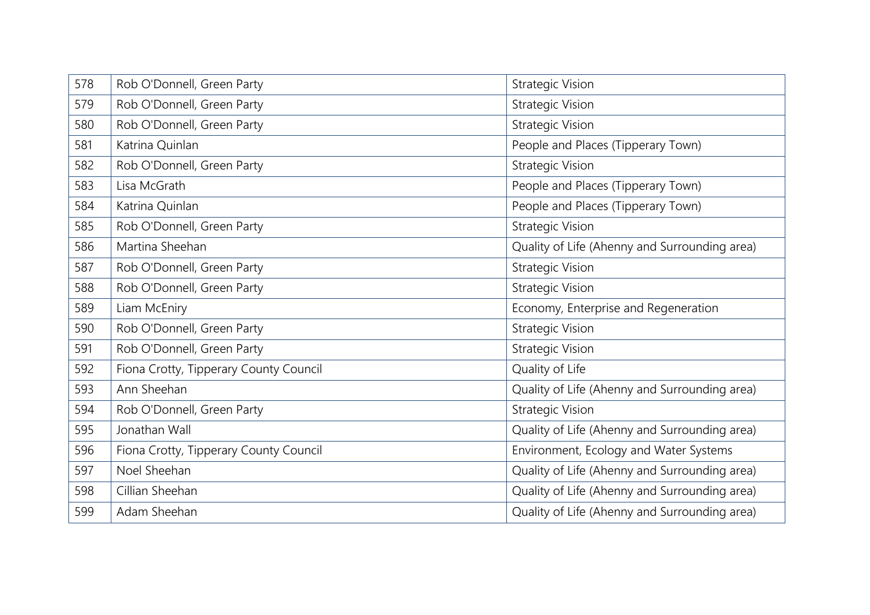| 578                                                          | Rob O'Donnell, Green Party             | <b>Strategic Vision</b>                       |  |
|--------------------------------------------------------------|----------------------------------------|-----------------------------------------------|--|
| 579                                                          | Rob O'Donnell, Green Party             | <b>Strategic Vision</b>                       |  |
| 580                                                          | Rob O'Donnell, Green Party             | <b>Strategic Vision</b>                       |  |
| 581                                                          | Katrina Quinlan                        | People and Places (Tipperary Town)            |  |
| 582                                                          | Rob O'Donnell, Green Party             | <b>Strategic Vision</b>                       |  |
| 583                                                          | Lisa McGrath                           | People and Places (Tipperary Town)            |  |
| 584                                                          | Katrina Quinlan                        | People and Places (Tipperary Town)            |  |
| 585                                                          | Rob O'Donnell, Green Party             | <b>Strategic Vision</b>                       |  |
| 586<br>Martina Sheehan                                       |                                        | Quality of Life (Ahenny and Surrounding area) |  |
| <b>Strategic Vision</b><br>587<br>Rob O'Donnell, Green Party |                                        |                                               |  |
| <b>Strategic Vision</b><br>588<br>Rob O'Donnell, Green Party |                                        |                                               |  |
| 589<br>Liam McEniry                                          |                                        | Economy, Enterprise and Regeneration          |  |
| Rob O'Donnell, Green Party<br>590<br><b>Strategic Vision</b> |                                        |                                               |  |
| 591                                                          | Rob O'Donnell, Green Party             | <b>Strategic Vision</b>                       |  |
| 592                                                          | Fiona Crotty, Tipperary County Council | Quality of Life                               |  |
| 593                                                          | Ann Sheehan                            | Quality of Life (Ahenny and Surrounding area) |  |
| 594                                                          | Rob O'Donnell, Green Party             | <b>Strategic Vision</b>                       |  |
| 595                                                          | Jonathan Wall                          | Quality of Life (Ahenny and Surrounding area) |  |
| 596                                                          | Fiona Crotty, Tipperary County Council | Environment, Ecology and Water Systems        |  |
| 597                                                          | Noel Sheehan                           | Quality of Life (Ahenny and Surrounding area) |  |
| 598                                                          | Cillian Sheehan                        | Quality of Life (Ahenny and Surrounding area) |  |
| 599                                                          | Adam Sheehan                           | Quality of Life (Ahenny and Surrounding area) |  |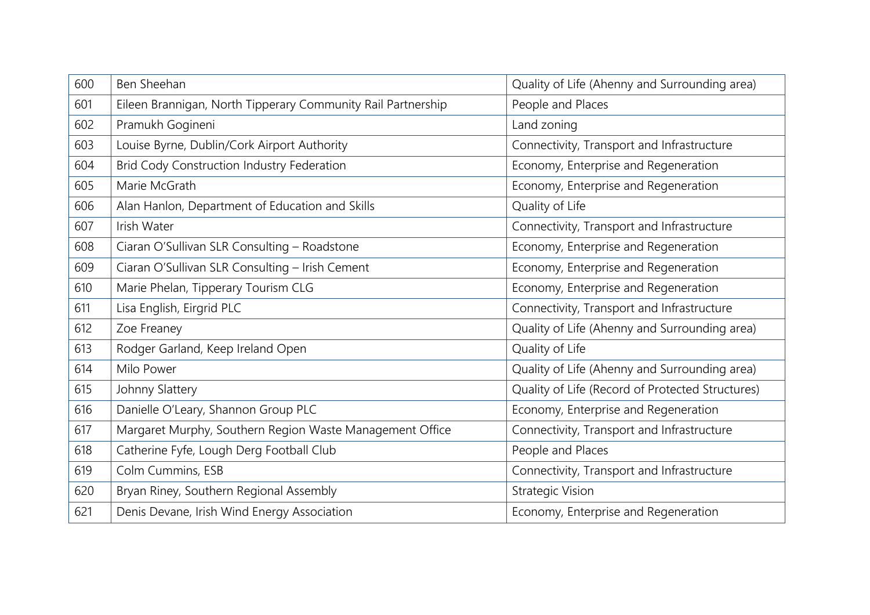| 600                                                                 | Quality of Life (Ahenny and Surrounding area)<br>Ben Sheehan |                                                  |  |
|---------------------------------------------------------------------|--------------------------------------------------------------|--------------------------------------------------|--|
| 601<br>Eileen Brannigan, North Tipperary Community Rail Partnership |                                                              | People and Places                                |  |
| 602                                                                 | Pramukh Gogineni                                             | Land zoning                                      |  |
| 603                                                                 | Louise Byrne, Dublin/Cork Airport Authority                  | Connectivity, Transport and Infrastructure       |  |
| 604                                                                 | <b>Brid Cody Construction Industry Federation</b>            | Economy, Enterprise and Regeneration             |  |
| 605                                                                 | Marie McGrath                                                | Economy, Enterprise and Regeneration             |  |
| 606                                                                 | Alan Hanlon, Department of Education and Skills              | Quality of Life                                  |  |
| 607<br>Irish Water                                                  |                                                              | Connectivity, Transport and Infrastructure       |  |
| 608<br>Ciaran O'Sullivan SLR Consulting - Roadstone                 |                                                              | Economy, Enterprise and Regeneration             |  |
| 609<br>Ciaran O'Sullivan SLR Consulting - Irish Cement              |                                                              | Economy, Enterprise and Regeneration             |  |
| 610<br>Marie Phelan, Tipperary Tourism CLG                          |                                                              | Economy, Enterprise and Regeneration             |  |
| 611                                                                 | Lisa English, Eirgrid PLC                                    | Connectivity, Transport and Infrastructure       |  |
| 612<br>Zoe Freaney                                                  |                                                              | Quality of Life (Ahenny and Surrounding area)    |  |
| 613<br>Quality of Life<br>Rodger Garland, Keep Ireland Open         |                                                              |                                                  |  |
| Milo Power<br>614                                                   |                                                              | Quality of Life (Ahenny and Surrounding area)    |  |
| 615                                                                 | Johnny Slattery                                              | Quality of Life (Record of Protected Structures) |  |
| 616                                                                 | Danielle O'Leary, Shannon Group PLC                          | Economy, Enterprise and Regeneration             |  |
| 617                                                                 | Margaret Murphy, Southern Region Waste Management Office     | Connectivity, Transport and Infrastructure       |  |
| 618                                                                 | Catherine Fyfe, Lough Derg Football Club                     | People and Places                                |  |
| 619                                                                 | Colm Cummins, ESB                                            | Connectivity, Transport and Infrastructure       |  |
| 620                                                                 | Bryan Riney, Southern Regional Assembly                      | <b>Strategic Vision</b>                          |  |
| 621                                                                 | Denis Devane, Irish Wind Energy Association                  | Economy, Enterprise and Regeneration             |  |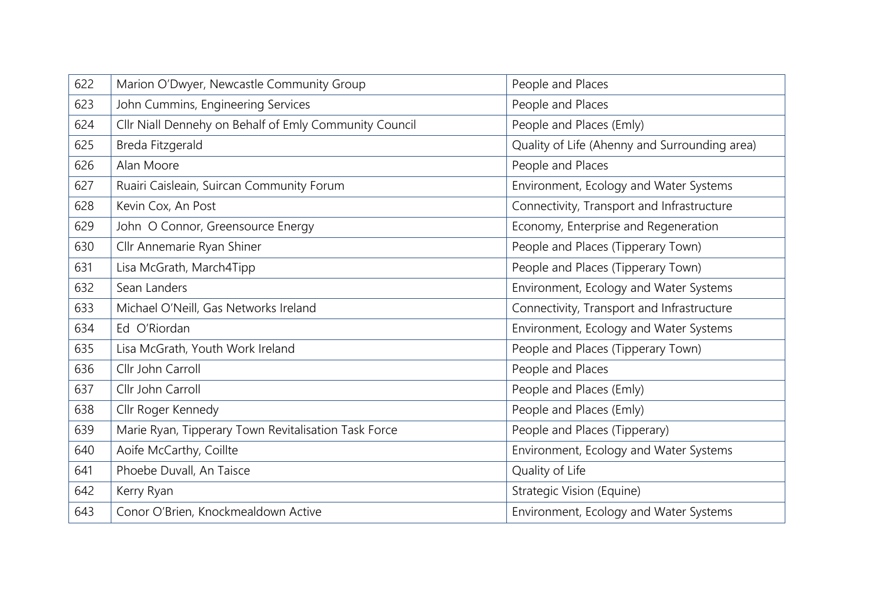| 622<br>Marion O'Dwyer, Newcastle Community Group<br>People and Places   |                                                        |                                               |  |
|-------------------------------------------------------------------------|--------------------------------------------------------|-----------------------------------------------|--|
| 623<br>John Cummins, Engineering Services<br>People and Places          |                                                        |                                               |  |
| 624                                                                     | Cllr Niall Dennehy on Behalf of Emly Community Council | People and Places (Emly)                      |  |
| 625                                                                     | Breda Fitzgerald                                       | Quality of Life (Ahenny and Surrounding area) |  |
| 626                                                                     | Alan Moore                                             | People and Places                             |  |
| 627                                                                     | Ruairi Caisleain, Suircan Community Forum              | Environment, Ecology and Water Systems        |  |
| 628                                                                     | Kevin Cox, An Post                                     | Connectivity, Transport and Infrastructure    |  |
| 629                                                                     | John O Connor, Greensource Energy                      | Economy, Enterprise and Regeneration          |  |
| 630<br>Cllr Annemarie Ryan Shiner<br>People and Places (Tipperary Town) |                                                        |                                               |  |
| 631<br>Lisa McGrath, March4Tipp                                         |                                                        | People and Places (Tipperary Town)            |  |
| 632<br>Sean Landers                                                     |                                                        | Environment, Ecology and Water Systems        |  |
| 633<br>Michael O'Neill, Gas Networks Ireland                            |                                                        | Connectivity, Transport and Infrastructure    |  |
| 634<br>Ed O'Riordan                                                     |                                                        | Environment, Ecology and Water Systems        |  |
| 635<br>Lisa McGrath, Youth Work Ireland                                 |                                                        | People and Places (Tipperary Town)            |  |
| 636<br>Cllr John Carroll<br>People and Places                           |                                                        |                                               |  |
| 637                                                                     | Cllr John Carroll                                      | People and Places (Emly)                      |  |
| 638                                                                     | Cllr Roger Kennedy                                     | People and Places (Emly)                      |  |
| 639                                                                     | Marie Ryan, Tipperary Town Revitalisation Task Force   | People and Places (Tipperary)                 |  |
| 640                                                                     | Aoife McCarthy, Coillte                                | Environment, Ecology and Water Systems        |  |
| 641                                                                     | Phoebe Duvall, An Taisce                               | Quality of Life                               |  |
| 642                                                                     | Strategic Vision (Equine)<br>Kerry Ryan                |                                               |  |
| 643                                                                     | Conor O'Brien, Knockmealdown Active                    | Environment, Ecology and Water Systems        |  |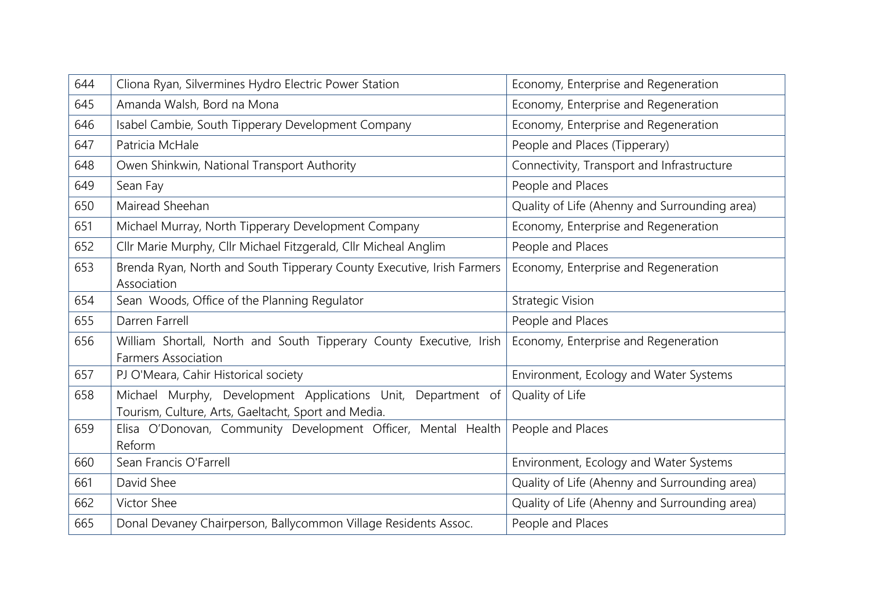| 644 | Cliona Ryan, Silvermines Hydro Electric Power Station                                                               | Economy, Enterprise and Regeneration          |  |
|-----|---------------------------------------------------------------------------------------------------------------------|-----------------------------------------------|--|
| 645 | Amanda Walsh, Bord na Mona                                                                                          | Economy, Enterprise and Regeneration          |  |
| 646 | Isabel Cambie, South Tipperary Development Company                                                                  | Economy, Enterprise and Regeneration          |  |
| 647 | Patricia McHale                                                                                                     | People and Places (Tipperary)                 |  |
| 648 | Owen Shinkwin, National Transport Authority                                                                         | Connectivity, Transport and Infrastructure    |  |
| 649 | Sean Fay                                                                                                            | People and Places                             |  |
| 650 | Mairead Sheehan                                                                                                     | Quality of Life (Ahenny and Surrounding area) |  |
| 651 | Michael Murray, North Tipperary Development Company                                                                 | Economy, Enterprise and Regeneration          |  |
| 652 | Cllr Marie Murphy, Cllr Michael Fitzgerald, Cllr Micheal Anglim                                                     | People and Places                             |  |
| 653 | Brenda Ryan, North and South Tipperary County Executive, Irish Farmers<br>Association                               | Economy, Enterprise and Regeneration          |  |
| 654 | Sean Woods, Office of the Planning Regulator                                                                        | <b>Strategic Vision</b>                       |  |
| 655 | Darren Farrell                                                                                                      | People and Places                             |  |
| 656 | William Shortall, North and South Tipperary County Executive, Irish<br><b>Farmers Association</b>                   | Economy, Enterprise and Regeneration          |  |
| 657 | PJ O'Meara, Cahir Historical society                                                                                | Environment, Ecology and Water Systems        |  |
| 658 | Michael Murphy, Development Applications Unit, Department of<br>Tourism, Culture, Arts, Gaeltacht, Sport and Media. | Quality of Life                               |  |
| 659 | Elisa O'Donovan, Community Development Officer, Mental Health   People and Places<br>Reform                         |                                               |  |
| 660 | Sean Francis O'Farrell                                                                                              | Environment, Ecology and Water Systems        |  |
| 661 | David Shee                                                                                                          | Quality of Life (Ahenny and Surrounding area) |  |
| 662 | Victor Shee                                                                                                         | Quality of Life (Ahenny and Surrounding area) |  |
| 665 | Donal Devaney Chairperson, Ballycommon Village Residents Assoc.                                                     | People and Places                             |  |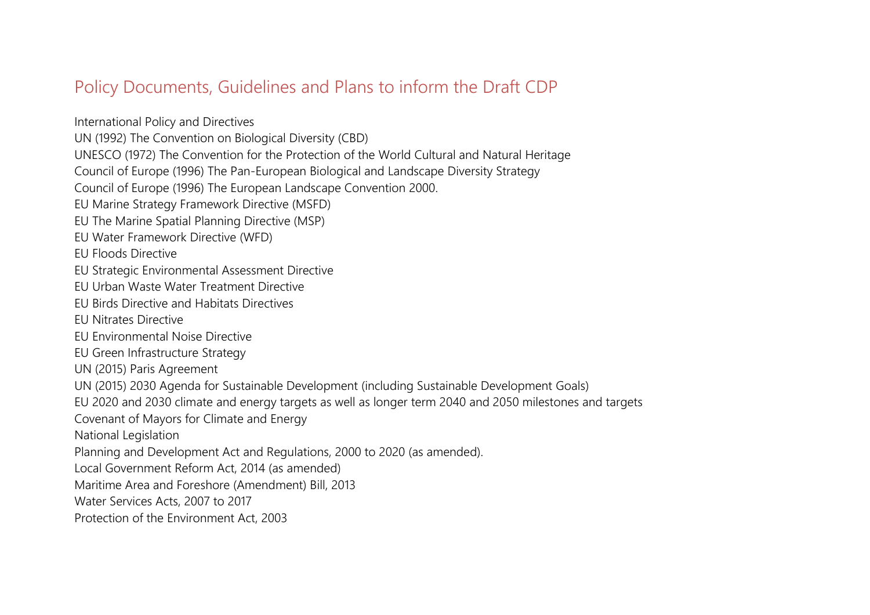### Policy Documents, Guidelines and Plans to inform the Draft CDP

International Policy and Directives

UN (1992) The Convention on Biological Diversity (CBD)

UNESCO (1972) The Convention for the Protection of the World Cultural and Natural Heritage

Council of Europe (1996) The Pan-European Biological and Landscape Diversity Strategy

Council of Europe (1996) The European Landscape Convention 2000.

EU Marine Strategy Framework Directive (MSFD)

EU The Marine Spatial Planning Directive (MSP)

EU Water Framework Directive (WFD)

EU Floods Directive

EU Strategic Environmental Assessment Directive

EU Urban Waste Water Treatment Directive

EU Birds Directive and Habitats Directives

EU Nitrates Directive

EU Environmental Noise Directive

EU Green Infrastructure Strategy

UN (2015) Paris Agreement

UN (2015) 2030 Agenda for Sustainable Development (including Sustainable Development Goals)

EU 2020 and 2030 climate and energy targets as well as longer term 2040 and 2050 milestones and targets

Covenant of Mayors for Climate and Energy

National Legislation

Planning and Development Act and Regulations, 2000 to 2020 (as amended).

Local Government Reform Act, 2014 (as amended)

Maritime Area and Foreshore (Amendment) Bill, 2013

Water Services Acts, 2007 to 2017

Protection of the Environment Act, 2003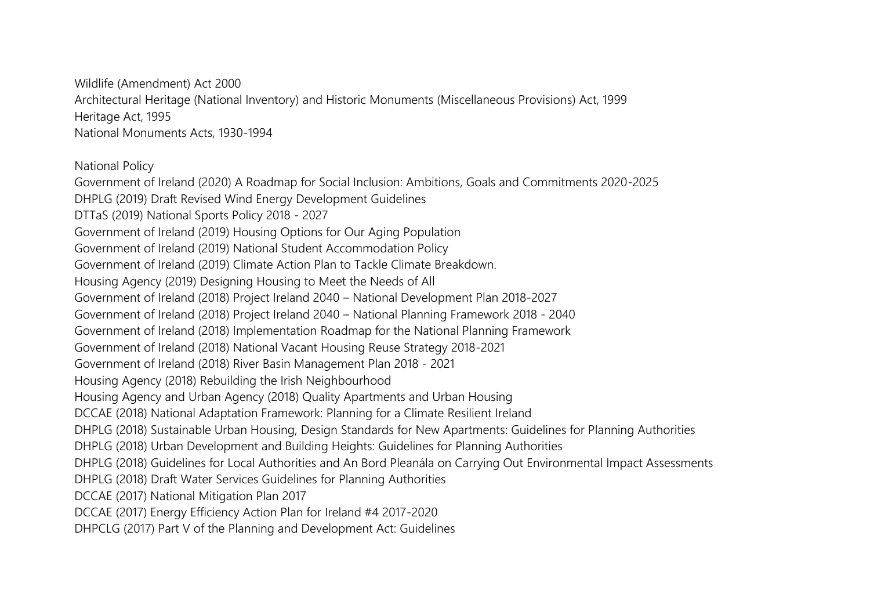Wildlife (Amendment) Act 2000 Architectural Heritage (National Inventory) and Historic Monuments (Miscellaneous Provisions) Act, 1999 Heritage Act, 1995 National Monuments Acts, 1930-1994

National Policy

Government of Ireland (2020) A Roadmap for Social Inclusion: Ambitions, Goals and Commitments 2020-2025 DHPLG (2019) Draft Revised Wind Energy Development Guidelines DTTaS (2019) National Sports Policy 2018 - 2027 Government of Ireland (2019) Housing Options for Our Aging Population Government of Ireland (2019) National Student Accommodation Policy Government of Ireland (2019) Climate Action Plan to Tackle Climate Breakdown. Housing Agency (2019) Designing Housing to Meet the Needs of All Government of Ireland (2018) Project Ireland 2040 – National Development Plan 2018-2027 Government of Ireland (2018) Project Ireland 2040 – National Planning Framework 2018 - 2040 Government of Ireland (2018) Implementation Roadmap for the National Planning Framework Government of Ireland (2018) National Vacant Housing Reuse Strategy 2018-2021 Government of Ireland (2018) River Basin Management Plan 2018 - 2021 Housing Agency (2018) Rebuilding the Irish Neighbourhood Housing Agency and Urban Agency (2018) Quality Apartments and Urban Housing DCCAE (2018) National Adaptation Framework: Planning for a Climate Resilient Ireland DHPLG (2018) Sustainable Urban Housing, Design Standards for New Apartments: Guidelines for Planning Authorities DHPLG (2018) Urban Development and Building Heights: Guidelines for Planning Authorities DHPLG (2018) Guidelines for Local Authorities and An Bord Pleanála on Carrying Out Environmental Impact Assessments DHPLG (2018) Draft Water Services Guidelines for Planning Authorities DCCAE (2017) National Mitigation Plan 2017 DCCAE (2017) Energy Efficiency Action Plan for Ireland #4 2017-2020 DHPCLG (2017) Part V of the Planning and Development Act: Guidelines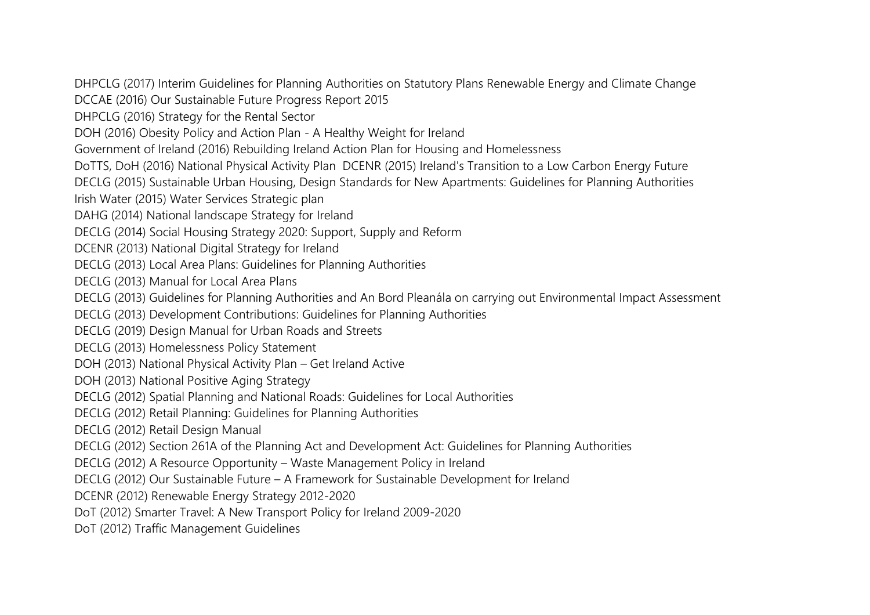DHPCLG (2017) Interim Guidelines for Planning Authorities on Statutory Plans Renewable Energy and Climate Change

DCCAE (2016) Our Sustainable Future Progress Report 2015

DHPCLG (2016) Strategy for the Rental Sector

DOH (2016) Obesity Policy and Action Plan - A Healthy Weight for Ireland

Government of Ireland (2016) Rebuilding Ireland Action Plan for Housing and Homelessness

DoTTS, DoH (2016) National Physical Activity Plan DCENR (2015) Ireland's Transition to a Low Carbon Energy Future

DECLG (2015) Sustainable Urban Housing, Design Standards for New Apartments: Guidelines for Planning Authorities

Irish Water (2015) Water Services Strategic plan

DAHG (2014) National landscape Strategy for Ireland

DECLG (2014) Social Housing Strategy 2020: Support, Supply and Reform

DCENR (2013) National Digital Strategy for Ireland

DECLG (2013) Local Area Plans: Guidelines for Planning Authorities

DECLG (2013) Manual for Local Area Plans

DECLG (2013) Guidelines for Planning Authorities and An Bord Pleanála on carrying out Environmental Impact Assessment

DECLG (2013) Development Contributions: Guidelines for Planning Authorities

DECLG (2019) Design Manual for Urban Roads and Streets

DECLG (2013) Homelessness Policy Statement

DOH (2013) National Physical Activity Plan – Get Ireland Active

DOH (2013) National Positive Aging Strategy

DECLG (2012) Spatial Planning and National Roads: Guidelines for Local Authorities

DECLG (2012) Retail Planning: Guidelines for Planning Authorities

DECLG (2012) Retail Design Manual

DECLG (2012) Section 261A of the Planning Act and Development Act: Guidelines for Planning Authorities

DECLG (2012) A Resource Opportunity – Waste Management Policy in Ireland

DECLG (2012) Our Sustainable Future – A Framework for Sustainable Development for Ireland

DCENR (2012) Renewable Energy Strategy 2012-2020

DoT (2012) Smarter Travel: A New Transport Policy for Ireland 2009-2020

DoT (2012) Traffic Management Guidelines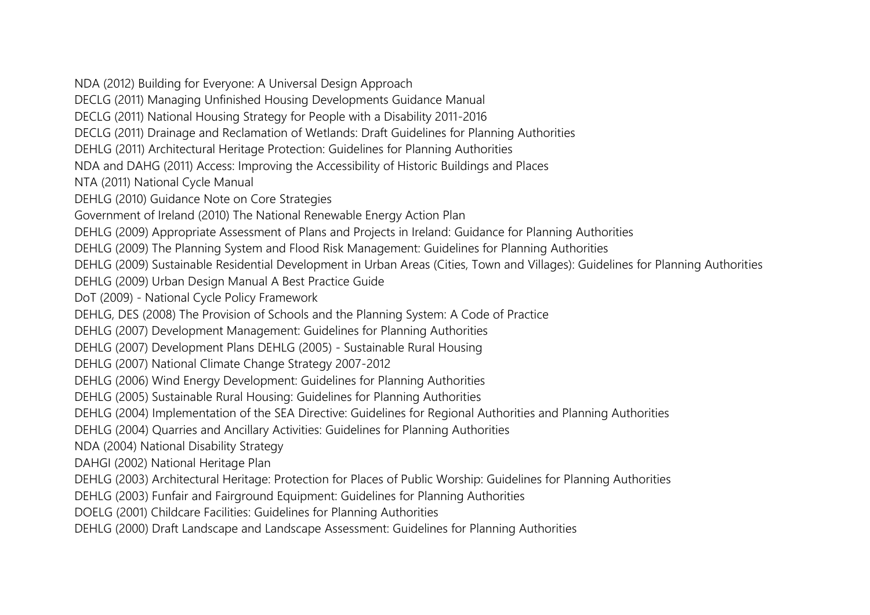NDA (2012) Building for Everyone: A Universal Design Approach

DECLG (2011) Managing Unfinished Housing Developments Guidance Manual

DECLG (2011) National Housing Strategy for People with a Disability 2011-2016

DECLG (2011) Drainage and Reclamation of Wetlands: Draft Guidelines for Planning Authorities

DEHLG (2011) Architectural Heritage Protection: Guidelines for Planning Authorities

NDA and DAHG (2011) Access: Improving the Accessibility of Historic Buildings and Places

NTA (2011) National Cycle Manual

DEHLG (2010) Guidance Note on Core Strategies

Government of Ireland (2010) The National Renewable Energy Action Plan

DEHLG (2009) Appropriate Assessment of Plans and Projects in Ireland: Guidance for Planning Authorities

DEHLG (2009) The Planning System and Flood Risk Management: Guidelines for Planning Authorities

DEHLG (2009) Sustainable Residential Development in Urban Areas (Cities, Town and Villages): Guidelines for Planning Authorities

DEHLG (2009) Urban Design Manual A Best Practice Guide

DoT (2009) - National Cycle Policy Framework

DEHLG, DES (2008) The Provision of Schools and the Planning System: A Code of Practice

DEHLG (2007) Development Management: Guidelines for Planning Authorities

DEHLG (2007) Development Plans DEHLG (2005) - Sustainable Rural Housing

DEHLG (2007) National Climate Change Strategy 2007-2012

DEHLG (2006) Wind Energy Development: Guidelines for Planning Authorities

DEHLG (2005) Sustainable Rural Housing: Guidelines for Planning Authorities

DEHLG (2004) Implementation of the SEA Directive: Guidelines for Regional Authorities and Planning Authorities

DEHLG (2004) Quarries and Ancillary Activities: Guidelines for Planning Authorities

NDA (2004) National Disability Strategy

DAHGI (2002) National Heritage Plan

DEHLG (2003) Architectural Heritage: Protection for Places of Public Worship: Guidelines for Planning Authorities

DEHLG (2003) Funfair and Fairground Equipment: Guidelines for Planning Authorities

DOELG (2001) Childcare Facilities: Guidelines for Planning Authorities

DEHLG (2000) Draft Landscape and Landscape Assessment: Guidelines for Planning Authorities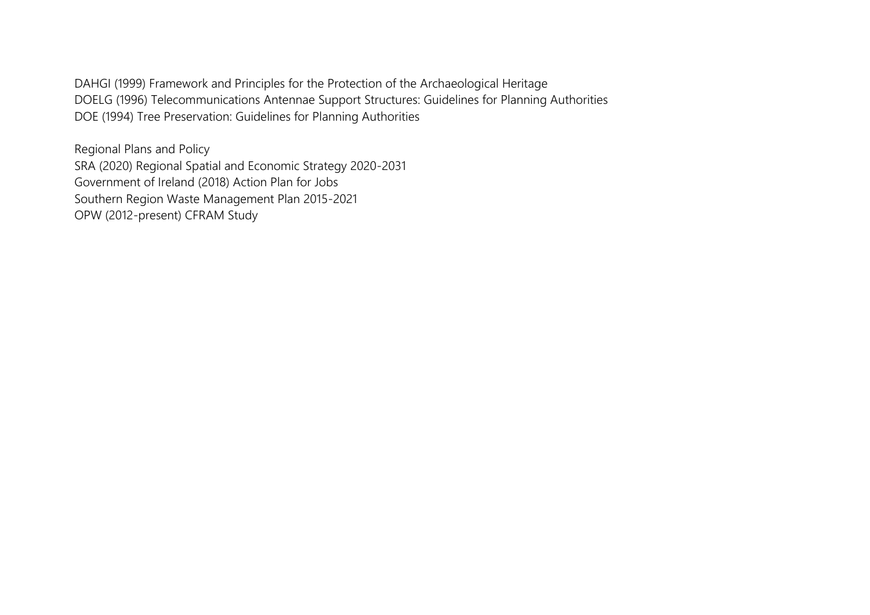DAHGI (1999) Framework and Principles for the Protection of the Archaeological Heritage DOELG (1996) Telecommunications Antennae Support Structures: Guidelines for Planning Authorities DOE (1994) Tree Preservation: Guidelines for Planning Authorities

Regional Plans and Policy SRA (2020) Regional Spatial and Economic Strategy 2020-2031 Government of Ireland (2018) Action Plan for Jobs Southern Region Waste Management Plan 2015-2021 OPW (2012-present) CFRAM Study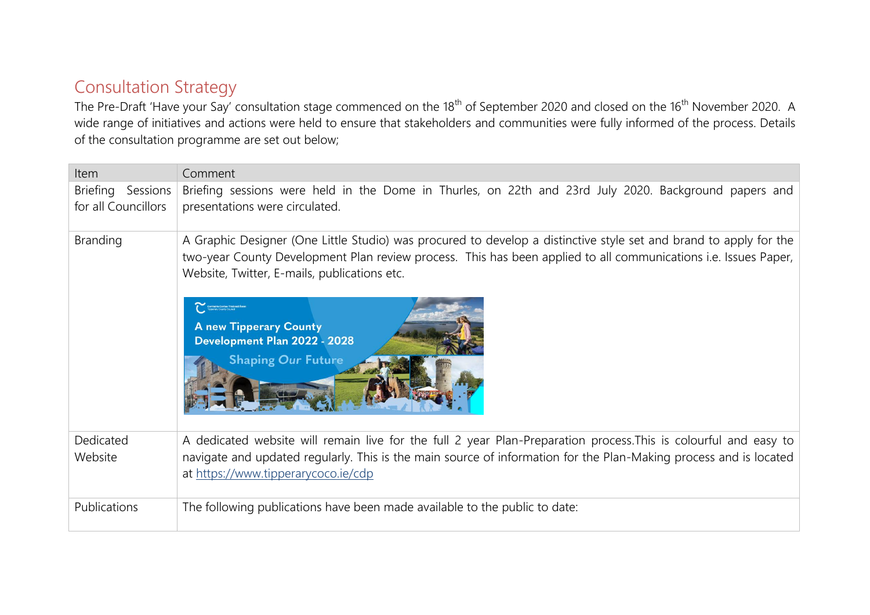## Consultation Strategy

The Pre-Draft 'Have your Say' consultation stage commenced on the 18<sup>th</sup> of September 2020 and closed on the 16<sup>th</sup> November 2020. A wide range of initiatives and actions were held to ensure that stakeholders and communities were fully informed of the process. Details of the consultation programme are set out below;

| Item                                     | Comment                                                                                                                                                                                                                                                                                                                                                                                                                |
|------------------------------------------|------------------------------------------------------------------------------------------------------------------------------------------------------------------------------------------------------------------------------------------------------------------------------------------------------------------------------------------------------------------------------------------------------------------------|
| Briefing Sessions<br>for all Councillors | Briefing sessions were held in the Dome in Thurles, on 22th and 23rd July 2020. Background papers and<br>presentations were circulated.                                                                                                                                                                                                                                                                                |
| <b>Branding</b>                          | A Graphic Designer (One Little Studio) was procured to develop a distinctive style set and brand to apply for the<br>two-year County Development Plan review process. This has been applied to all communications i.e. Issues Paper,<br>Website, Twitter, E-mails, publications etc.<br>Comhairie Contae Thiobraid Árann<br><b>A new Tipperary County</b><br>Development Plan 2022 - 2028<br><b>Shaping Our Future</b> |
| Dedicated<br>Website                     | A dedicated website will remain live for the full 2 year Plan-Preparation process. This is colourful and easy to<br>navigate and updated regularly. This is the main source of information for the Plan-Making process and is located<br>at https://www.tipperarycoco.ie/cdp                                                                                                                                           |
| Publications                             | The following publications have been made available to the public to date:                                                                                                                                                                                                                                                                                                                                             |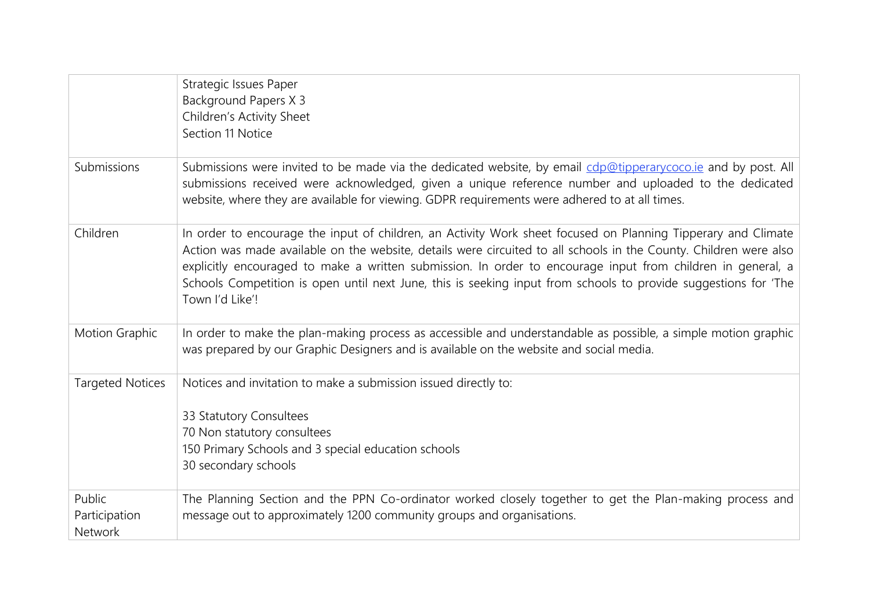|                                           | Strategic Issues Paper<br>Background Papers X 3<br>Children's Activity Sheet<br>Section 11 Notice                                                                                                                                                                                                                                                                                                                                                                                       |
|-------------------------------------------|-----------------------------------------------------------------------------------------------------------------------------------------------------------------------------------------------------------------------------------------------------------------------------------------------------------------------------------------------------------------------------------------------------------------------------------------------------------------------------------------|
| Submissions                               | Submissions were invited to be made via the dedicated website, by email cdp@tipperarycoco.ie and by post. All<br>submissions received were acknowledged, given a unique reference number and uploaded to the dedicated<br>website, where they are available for viewing. GDPR requirements were adhered to at all times.                                                                                                                                                                |
| Children                                  | In order to encourage the input of children, an Activity Work sheet focused on Planning Tipperary and Climate<br>Action was made available on the website, details were circuited to all schools in the County. Children were also<br>explicitly encouraged to make a written submission. In order to encourage input from children in general, a<br>Schools Competition is open until next June, this is seeking input from schools to provide suggestions for 'The<br>Town I'd Like'! |
| Motion Graphic                            | In order to make the plan-making process as accessible and understandable as possible, a simple motion graphic<br>was prepared by our Graphic Designers and is available on the website and social media.                                                                                                                                                                                                                                                                               |
| <b>Targeted Notices</b>                   | Notices and invitation to make a submission issued directly to:<br>33 Statutory Consultees<br>70 Non statutory consultees<br>150 Primary Schools and 3 special education schools<br>30 secondary schools                                                                                                                                                                                                                                                                                |
| Public<br>Participation<br><b>Network</b> | The Planning Section and the PPN Co-ordinator worked closely together to get the Plan-making process and<br>message out to approximately 1200 community groups and organisations.                                                                                                                                                                                                                                                                                                       |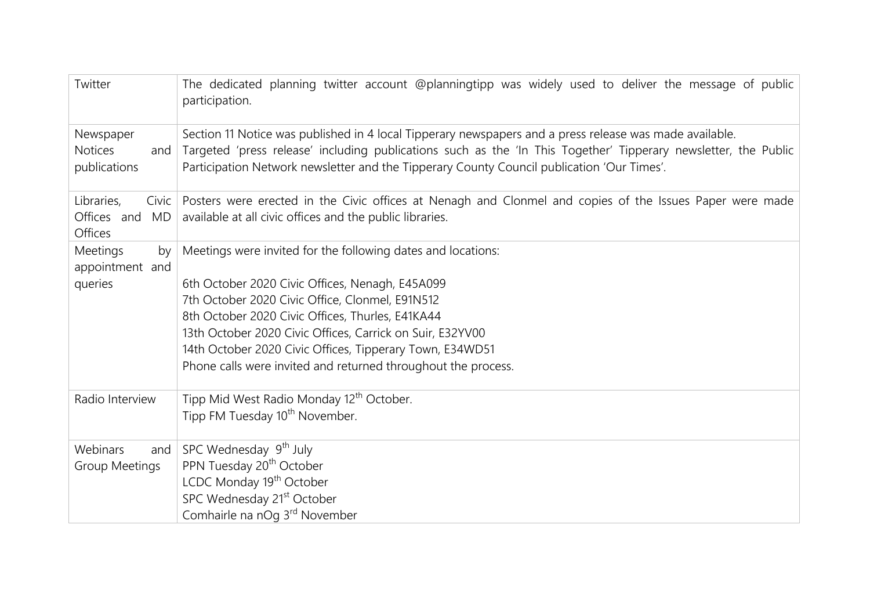| Twitter                                                    | The dedicated planning twitter account @planningtipp was widely used to deliver the message of public<br>participation.                                                                                                                                                                                                                                                                                          |
|------------------------------------------------------------|------------------------------------------------------------------------------------------------------------------------------------------------------------------------------------------------------------------------------------------------------------------------------------------------------------------------------------------------------------------------------------------------------------------|
| Newspaper<br><b>Notices</b><br>and<br>publications         | Section 11 Notice was published in 4 local Tipperary newspapers and a press release was made available.<br>Targeted 'press release' including publications such as the 'In This Together' Tipperary newsletter, the Public<br>Participation Network newsletter and the Tipperary County Council publication 'Our Times'.                                                                                         |
| Libraries,<br>Civic<br>Offices and<br><b>MD</b><br>Offices | Posters were erected in the Civic offices at Nenagh and Clonmel and copies of the Issues Paper were made<br>available at all civic offices and the public libraries.                                                                                                                                                                                                                                             |
| Meetings<br>by<br>appointment and<br>queries               | Meetings were invited for the following dates and locations:<br>6th October 2020 Civic Offices, Nenagh, E45A099<br>7th October 2020 Civic Office, Clonmel, E91N512<br>8th October 2020 Civic Offices, Thurles, E41KA44<br>13th October 2020 Civic Offices, Carrick on Suir, E32YV00<br>14th October 2020 Civic Offices, Tipperary Town, E34WD51<br>Phone calls were invited and returned throughout the process. |
| Radio Interview                                            | Tipp Mid West Radio Monday 12 <sup>th</sup> October.<br>Tipp FM Tuesday 10 <sup>th</sup> November.                                                                                                                                                                                                                                                                                                               |
| Webinars<br>and<br><b>Group Meetings</b>                   | SPC Wednesday 9 <sup>th</sup> July<br>PPN Tuesday 20 <sup>th</sup> October<br>LCDC Monday 19 <sup>th</sup> October<br>SPC Wednesday 21 <sup>st</sup> October<br>Comhairle na nOg 3 <sup>rd</sup> November                                                                                                                                                                                                        |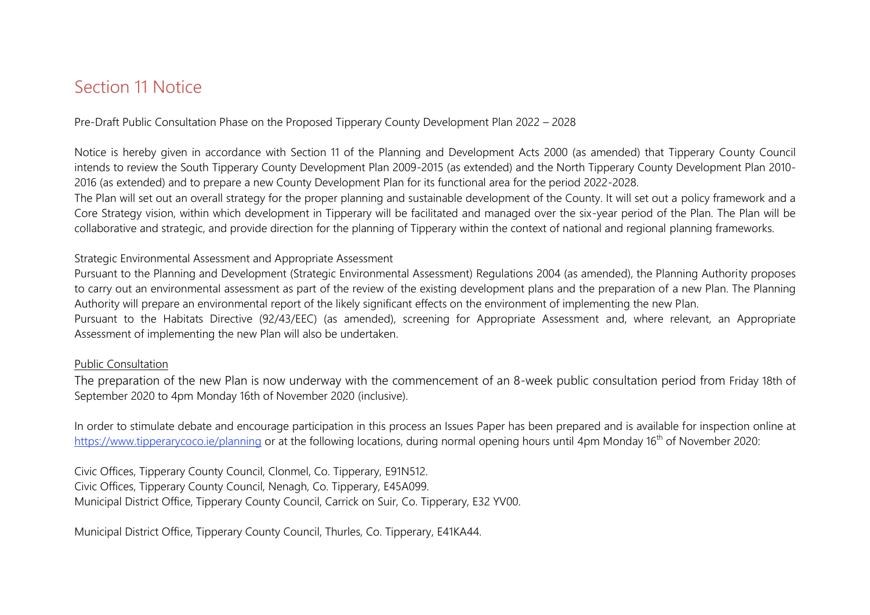### Section 11 Notice

Pre-Draft Public Consultation Phase on the Proposed Tipperary County Development Plan 2022 – 2028

Notice is hereby given in accordance with Section 11 of the Planning and Development Acts 2000 (as amended) that Tipperary County Council intends to review the South Tipperary County Development Plan 2009-2015 (as extended) and the North Tipperary County Development Plan 2010- 2016 (as extended) and to prepare a new County Development Plan for its functional area for the period 2022-2028.

The Plan will set out an overall strategy for the proper planning and sustainable development of the County. It will set out a policy framework and a Core Strategy vision, within which development in Tipperary will be facilitated and managed over the six-year period of the Plan. The Plan will be collaborative and strategic, and provide direction for the planning of Tipperary within the context of national and regional planning frameworks.

### Strategic Environmental Assessment and Appropriate Assessment

Pursuant to the Planning and Development (Strategic Environmental Assessment) Regulations 2004 (as amended), the Planning Authority proposes to carry out an environmental assessment as part of the review of the existing development plans and the preparation of a new Plan. The Planning Authority will prepare an environmental report of the likely significant effects on the environment of implementing the new Plan. Pursuant to the Habitats Directive (92/43/EEC) (as amended), screening for Appropriate Assessment and, where relevant, an Appropriate Assessment of implementing the new Plan will also be undertaken.

#### Public Consultation

The preparation of the new Plan is now underway with the commencement of an 8-week public consultation period from Friday 18th of September 2020 to 4pm Monday 16th of November 2020 (inclusive).

In order to stimulate debate and encourage participation in this process an Issues Paper has been prepared and is available for inspection online at <https://www.tipperarycoco.ie/planning> or at the following locations, during normal opening hours until 4pm Monday 16<sup>th</sup> of November 2020:

Civic Offices, Tipperary County Council, Clonmel, Co. Tipperary, E91N512. Civic Offices, Tipperary County Council, Nenagh, Co. Tipperary, E45A099. Municipal District Office, Tipperary County Council, Carrick on Suir, Co. Tipperary, E32 YV00.

Municipal District Office, Tipperary County Council, Thurles, Co. Tipperary, E41KA44.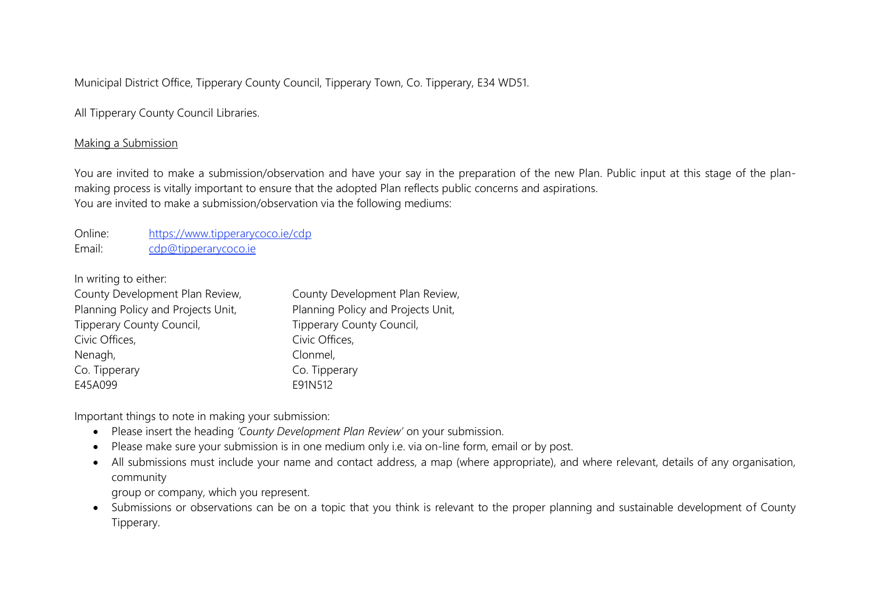Municipal District Office, Tipperary County Council, Tipperary Town, Co. Tipperary, E34 WD51.

All Tipperary County Council Libraries.

#### Making a Submission

You are invited to make a submission/observation and have your say in the preparation of the new Plan. Public input at this stage of the planmaking process is vitally important to ensure that the adopted Plan reflects public concerns and aspirations. You are invited to make a submission/observation via the following mediums:

Online: <https://www.tipperarycoco.ie/cdp> Email: [cdp@tipperarycoco.ie](mailto:cdp@tipperarycoco.ie)

In writing to either:

| County Development Plan Review,    | County Development Plan Review,    |
|------------------------------------|------------------------------------|
| Planning Policy and Projects Unit, | Planning Policy and Projects Unit, |
| Tipperary County Council,          | Tipperary County Council,          |
| Civic Offices,                     | Civic Offices,                     |
| Nenagh,                            | Clonmel,                           |
| Co. Tipperary                      | Co. Tipperary                      |
| E45A099                            | E91N512                            |

Important things to note in making your submission:

- Please insert the heading *'County Development Plan Review'* on your submission.
- Please make sure your submission is in one medium only i.e. via on-line form, email or by post.
- All submissions must include your name and contact address, a map (where appropriate), and where relevant, details of any organisation, community

group or company, which you represent.

• Submissions or observations can be on a topic that you think is relevant to the proper planning and sustainable development of County Tipperary.